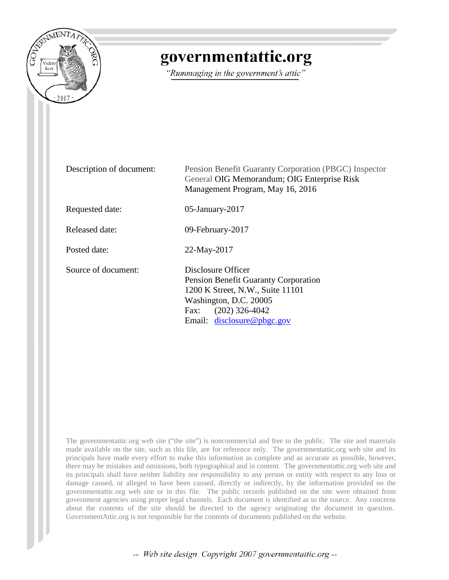

# governmentattic.org

"Rummaging in the government's attic"

| Description of document: | Pension Benefit Guaranty Corporation (PBGC) Inspector<br>General OIG Memorandum; OIG Enterprise Risk<br>Management Program, May 16, 2016                                           |
|--------------------------|------------------------------------------------------------------------------------------------------------------------------------------------------------------------------------|
| Requested date:          | $05$ -January-2017                                                                                                                                                                 |
| Released date:           | 09-February-2017                                                                                                                                                                   |
| Posted date:             | 22-May-2017                                                                                                                                                                        |
| Source of document:      | Disclosure Officer<br>Pension Benefit Guaranty Corporation<br>1200 K Street, N.W., Suite 11101<br>Washington, D.C. 20005<br>$(202)$ 326-4042<br>Fax:<br>Email: disclosure@pbgc.gov |

The governmentattic.org web site ("the site") is noncommercial and free to the public. The site and materials made available on the site, such as this file, are for reference only. The governmentattic.org web site and its principals have made every effort to make this information as complete and as accurate as possible, however, there may be mistakes and omissions, both typographical and in content. The governmentattic.org web site and its principals shall have neither liability nor responsibility to any person or entity with respect to any loss or damage caused, or alleged to have been caused, directly or indirectly, by the information provided on the governmentattic.org web site or in this file. The public records published on the site were obtained from government agencies using proper legal channels. Each document is identified as to the source. Any concerns about the contents of the site should be directed to the agency originating the document in question. GovernmentAttic.org is not responsible for the contents of documents published on the website.

-- Web site design Copyright 2007 governmentattic.org --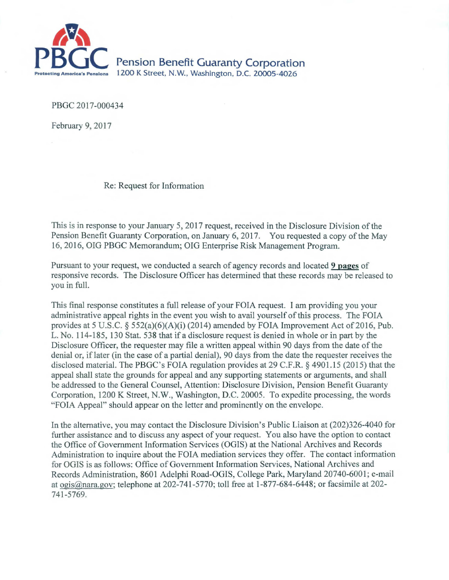

**Pension Benefit Guaranty Corporation** 1200 K Street, N.W., Washington, D.C. 20005-4026

PBGC 2017-000434

February 9, 2017

Re: Request for Information

This is in response to your January 5, 2017 request, received in the Disclosure Division of the Pension Benefit Guaranty Corporation, on January 6, 2017. You requested a copy of the May 16, 2016, OIG PBGC Memorandum; OIG Enterprise Risk Management Program.

Pursuant to your request, we conducted a search of agency records and located 9 pages of responsive records. The Disclosure Officer has determined that these records may be released to you in full.

This final response constitutes a full release of your FOIA request. I am providing you your administrative appeal rights in the event you wish to avail yourself of this process. The FOIA provides at 5 U.S.C. § 552(a)(6)(A)(i) (2014) amended by FOIA Improvement Act of 2016, Pub. L. No. 114-185, 130 Stat. 538 that if a disclosure request is denied in whole or in part by the Disclosure Officer, the requester may file a written appeal within 90 days from the date of the denial or, iflater (in the case of a partial denial), 90 days from the date the requester receives the disclosed material. The PBGC's FOIA regulation provides at 29 C.F.R. § 4901.15 (2015) that the appeal shall state the grounds for appeal and any supporting statements or arguments, and shall be addressed to the General Counsel, Attention: Disclosure Division, Pension Benefit Guaranty Corporation, 1200 K Street, N.W., Washington, D.C. 20005. To expedite processing, the words "FOIA Appeal" should appear on the letter and prominently on the envelope.

In the alternative, you may contact the Disclosure Division's Public Liaison at (202)326-4040 for further assistance and to discuss any aspect of your request. You also have the option to contact the Office of Government Information Services (OGIS) at the National Archives and Records Administration to inquire about the FOIA mediation services they offer. The contact information for OGIS is as follows: Office of Government Information Services, National Archives and Records Administration, 8601 Adelphi Road-OGIS, College Park, Maryland 20740-6001; e-mail at ogis@nara.gov; telephone at 202-741-5770; toll free at 1-877-684-6448; or facsimile at 202- 741-5769.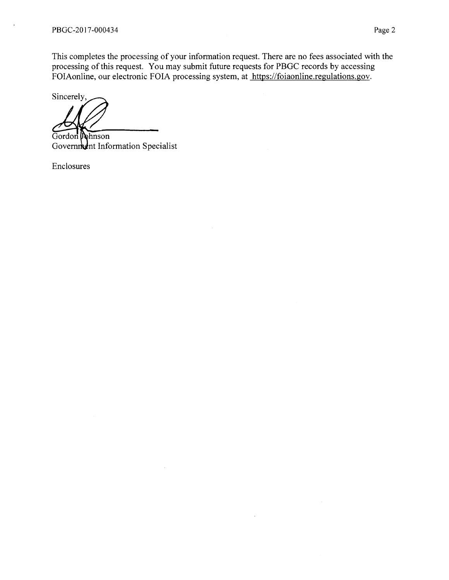l,

This completes the processing of your information request. There are no fees associated with the processing of this request. You may submit future requests for PBGC records by accessing FOIAonline, our electronic FOIA processing system, at https://foiaonline.regulations.gov.

Sincerely,

Gordon Dohnson Government Information Specialist

Enclosures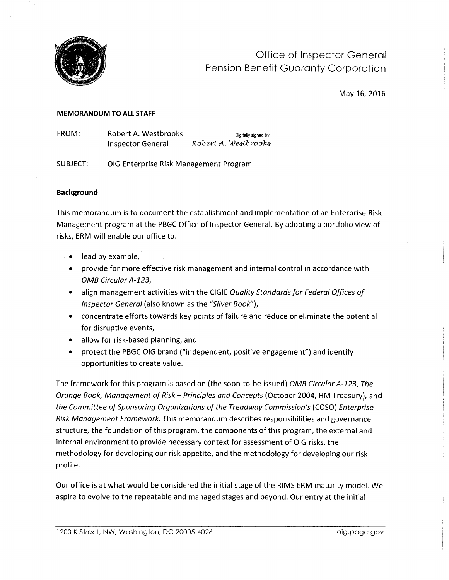

Office of Inspector General Pension Benefit Guaranty Corporation

May 16, 2016

## **MEMORANDUM TO ALL STAFF**

FROM: Robert A. Westbrooks Digitally signed by **Inspector General** *Robert A. Westbrooks* 

SUBJECT: OIG Enterprise Risk Management Program

# **Background**

This memorandum is to document the establishment and implementation of an Enterprise Risk Management program at the PBGC Office of Inspector General. By adopting a portfolio view of risks, ERM will enable our office to:

- lead by example,
- provide for more effective risk management and internal control in accordance with OMB Circular *A-123,*
- align management activities with the CIGIE Quality Standards for Federal Offices of Inspector General (also known as the "Silver Book"),
- concentrate efforts towards key points of failure and reduce or eliminate the potential for disruptive events,
- allow for risk-based planning, and
- protect the PBGC OIG brand ("independent, positive engagement") and identify opportunities to create value.

The framework for this program is based on (the soon-to-be issued) OMB Circular *A-123,* The Orange Book, Management of Risk- Principles and Concepts (October 2004, HM Treasury), and the Committee of Sponsoring Organizations of the Treadway Commission's ( COSO) Enterprise Risk Management Framework. This memorandum describes responsibilities and governance structure, the foundation of this program, the components of this program, the external and internal environment to provide necessary context for assessment of OIG risks, the methodology for developing our risk appetite, and the methodology for developing our risk profile.

Our office is at what would be considered the initial stage of the RIMS ERM maturity model. We aspire to evolve to the repeatable and managed stages and beyond. Our entry at the initial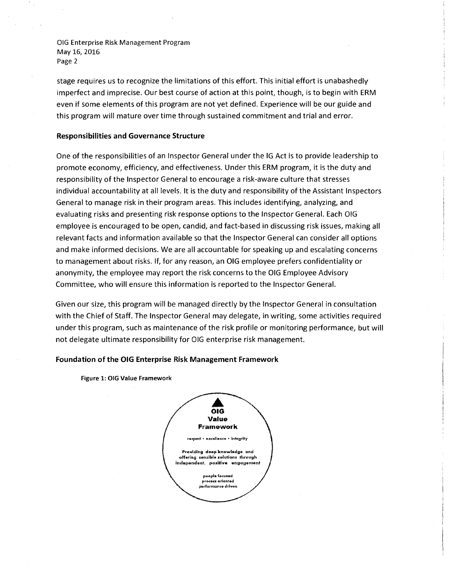stage requires us to recognize the limitations of this effort. This initial effort is unabashedly imperfect and imprecise. Our best course of action at this point, though, is to begin with ERM even if some elements of this program are not yet defined. Experience will be our guide and this program will mature over time through sustained commitment and trial and error.

## **Responsibilities and Governance Structure**

One of the responsibilities of an Inspector General under the IG Act is to provide leadership to promote economy, efficiency, and effectiveness. Under this ERM program, it is the duty and responsibility of the Inspector General to encourage a risk-aware culture that stresses individual accountability at all levels. It is the duty and responsibility of the Assistant Inspectors General to manage risk in their program areas. This includes identifying, analyzing, and evaluating risks and presenting risk response options to the Inspector General. Each OIG employee is encouraged to be open, candid, and fact-based in discussing risk issues, making all relevant facts and information available so that the Inspector General can consider all options and make informed decisions. We are all accountable for speaking up and escalating concerns to management about risks. If, for any reason, an OIG employee prefers confidentiality or anonymity, the employee may report the risk concerns to the OIG Employee Advisory Committee, who will ensure this information is reported to the Inspector General.

Given our size, this program will be managed directly by the Inspector General in consultation with the Chief of Staff. The Inspector General may delegate, in writing, some activities required under this program, such as maintenance of the risk profile or monitoring performance, but will not delegate ultimate responsibility for OIG enterprise risk management.

# **Foundation of the OIG Enterprise Risk Management Framework**

Figure 1: OIG Value Framework

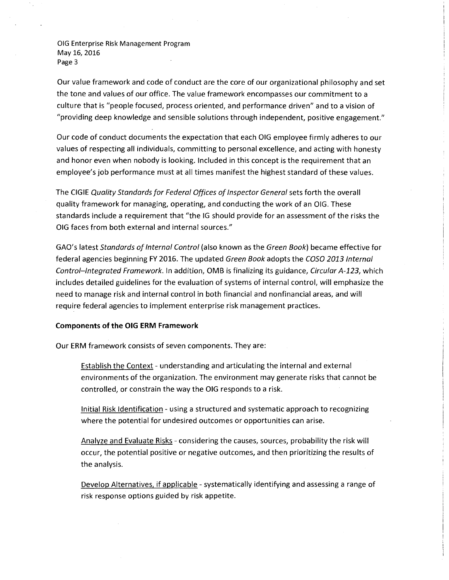Our value framework and code of conduct are the core of our organizational philosophy and set the tone and values of our office. The value framework encompasses our commitment to a culture that is "people focused, process oriented, and performance driven" and to a vision of "providing deep knowledge and sensible solutions through independent, positive engagement."

Our code of conduct documents the expectation that each OIG employee firmly adheres to our values of respecting all individuals, committing to personal excellence, and acting with honesty and honor even when nobody is looking. Included in this concept is the requirement that an employee's job performance must at all times manifest the highest standard of these values.

The CIGIE Quality Standards for Federal Offices of Inspector General sets forth the overall quality framework for managing, operating, and conducting the work of an OIG. These standards include a requirement that "the IG should provide for an assessment of the risks the OIG faces from both external and internal sources."

GAO's latest Standards of Internal Control (also known as the Green Book) became effective for federal agencies beginning FY 2016. The updated Green Book adopts the COSO 2013 Internal Control-Integrated Framework. In addition, OMB is finalizing its guidance, Circular A-123, which includes detailed guidelines for the evaluation of systems of internal control, will emphasize the need to manage risk and internal control in both financial and nonfinancial areas, and will require federal agencies to implement enterprise risk management practices.

# **Components of the OIG ERM Framework**

Our ERM framework consists of seven components. They are:

Establish the Context - understanding and articulating the internal and external environments of the organization. The environment may generate risks that cannot be controlled, or constrain the way the OIG responds to a risk.

Initial Risk Identification - using a structured and systematic approach to recognizing where the potential for undesired outcomes or opportunities can arise.

Analyze and Evaluate Risks - considering the causes, sources, probability the risk will occur, the potential positive or negative outcomes, and then prioritizing the results of the analysis.

Develop Alternatives, if applicable - systematically identifying and assessing a range of risk response options guided by risk appetite.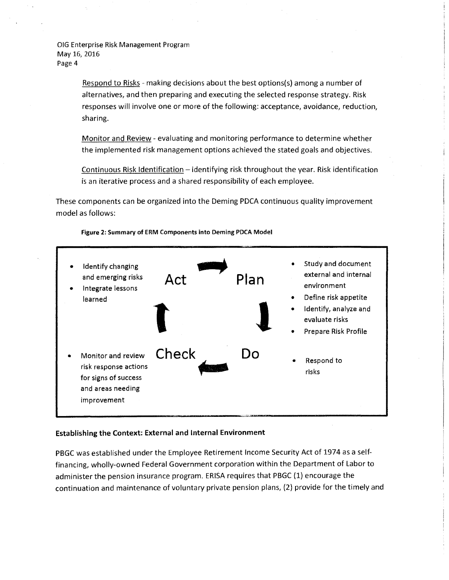> Respond to Risks - making decisions about the best options(s) among a number of alternatives, and then preparing and executing the selected response strategy. Risk responses will involve one or more of the following: acceptance, avoidance, reduction, sharing.

Monitor and Review - evaluating and monitoring performance to determine whether the implemented risk management options achieved the stated goals and objectives.

Continuous Risk Identification - identifying risk throughout the year. Risk identification is an iterative process and a shared responsibility of each employee.

These components can be organized into the Deming POCA continuous quality improvement model as follows:



Figure 2: Summary of ERM Components into Deming POCA Model

# Establishing the Context: External and Internal Environment

PBGC was established under the Employee Retirement Income Security Act of 1974 as a selffinancing, wholly-owned Federal Government corporation within the Department of Labor to administer the pension insurance program. ERISA requires that PBGC (1) encourage the continuation and maintenance of voluntary private pension plans, (2) provide for the timely and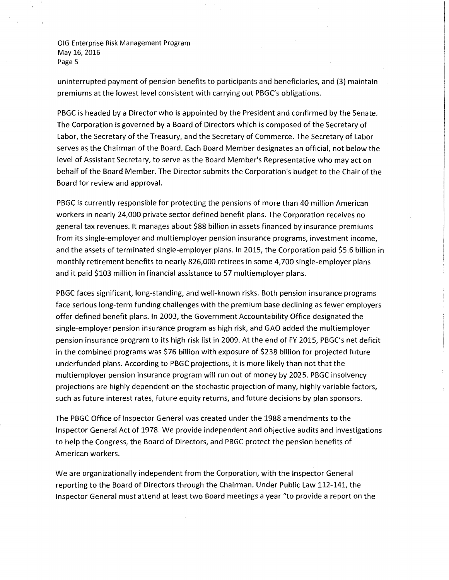uninterrupted payment of pension benefits to participants and beneficiaries, and (3) maintain premiums at the lowest level consistent with carrying out PBGC's obligations.

PBGC is headed by a Director who is appointed by the President and confirmed by the Senate. The Corporation is governed by a Board of Directors which is composed of the Secretary of Labor, the Secretary of the Treasury, and the Secretary of Commerce. The Secretary of Labor serves as the Chairman of the Board. Each Board Member designates an official, not below the level of Assistant Secretary, to serve as the Board Member's Representative who may act on behalf of the Board Member. The Director submits the Corporation's budget to the Chair of the Board for review and approval.

PBGC is currently responsible for protecting the pensions of more than 40 million American workers in nearly 24,000 private sector defined benefit plans. The Corporation receives no general tax revenues. It manages about \$88 billion in assets financed by insurance premiums from its single-employer and multiemployer pension insurance programs, investment income, and the assets of terminated single-employer plans. In 2015, the Corporation paid \$5.6 billion in monthly retirement benefits to nearly 826,000 retirees in some 4,700 single-employer plans and it paid \$103 million in financial assistance to 57 multiemployer plans.

PBGC faces significant, long-standing, and well-known risks. Both pension insurance programs face serious long-term funding challenges with the premium base declining as fewer employers offer defined benefit plans. In 2003, the Government Accountability Office designated the single-employer pension insurance program as high risk, and GAO added the multiemployer pension insurance program to its high risk list in 2009. At the end of FY 2015, PBGC's net deficit in the combined programs was \$76 billion with exposure of \$238 billion for projected future underfunded plans. According to PBGC projections, it is more likely than not that the multiemployer pension insurance program will run out of money by 2025. PBGC insolvency projections are highly dependent on the stochastic projection of many, highly variable factors, such as future interest rates, future equity returns, and future decisions by plan sponsors.

The PBGC Office of Inspector General was created under the 1988 amendments to the Inspector General Act of 1978. We provide independent and objective audits and investigations to help the Congress, the Board of Directors, and PBGC protect the pension benefits of American workers.

We are organizationally independent from the Corporation, with the Inspector General reporting to the Board of Directors through the Chairman. Under Public Law 112-141, the Inspector General must attend at least two Board meetings a year "to provide a report on the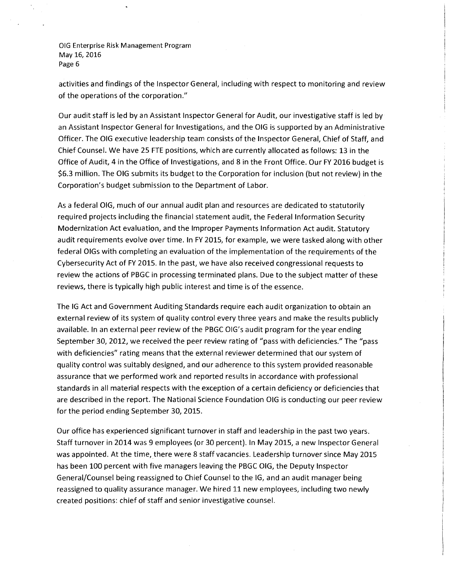activities and findings of the Inspector General, including with respect to monitoring and review of the operations of the corporation."

Our audit staff is led by an Assistant Inspector General for Audit, our investigative staff is led by an Assistant Inspector General for Investigations, and the OIG is supported by an Administrative Officer. The OIG executive leadership team consists of the Inspector General, Chief of Staff, and Chief Counsel. We have 25 FTE positions, which are currently allocated as follows: 13 in the Office of Audit, 4 in the Office of Investigations, and 8 in the Front Office. Our FY 2016 budget is \$6.3 million. The OIG submits its budget to the Corporation for inclusion (but not review) in the Corporation's budget submission to the Department of Labor.

As a federal OIG, much of our annual audit plan and resources are dedicated to statutorily required projects including the financial statement audit, the Federal Information Security Modernization Act evaluation, and the Improper Payments Information Act audit. Statutory audit requirements evolve over time. In FY 2015, for example, we were tasked along with other federal OIGs with completing an evaluation of the implementation of the requirements of the Cybersecurity Act of FY 2015. In the past, we have also received congressional requests to review the actions of PBGC in processing terminated plans. Due to the subject matter of these reviews, there is typically high public interest and time is of the essence.

The IG Act and Government Auditing Standards require each audit organization to obtain an external review of its system of quality control every three years and make the results publicly available. In an external peer review of the PBGC OIG's audit program for the year ending September 30, 2012, we received the peer review rating of "pass with deficiencies." The "pass with deficiencies" rating means that the external reviewer determined that our system of quality control was suitably designed, and our adherence to this system provided reasonable assurance that we performed work and reported results in accordance with professional standards in all material respects with the exception of a certain deficiency or deficiencies that are described in the report. The National Science Foundation OIG is conducting our peer review for the period ending September 30, 2015.

Our office has experienced significant turnover in staff and leadership in the past two years. Staff turnover in 2014 was 9 employees (or 30 percent). In May 2015, a new Inspector General was appointed. At the time, there were 8 staff vacancies. Leadership turnover since May 2015 has been 100 percent with five managers leaving the PBGC OIG, the Deputy Inspector General/Counsel being reassigned to Chief Counsel to the IG, and an audit manager being reassigned to quality assurance manager. We hired 11 new employees, including two newly created positions: chief of staff and senior investigative counsel.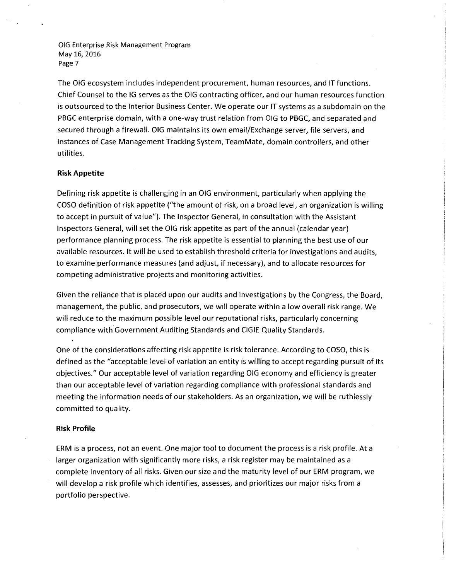The OIG ecosystem includes independent procurement, human resources, and IT functions. Chief Counsel to the IG serves as the OIG contracting officer, and our human resources function is outsourced to the Interior Business Center. We operate our IT systems as a subdomain on the PBGC enterprise domain, with a one-way trust relation from OIG to PBGC, and separated and secured through a firewall. OIG maintains its own email/Exchange server, file servers, and instances of Case Management Tracking System, TeamMate, domain controllers, and other utilities.

# **Risk Appetite**

Defining risk appetite is challenging in an OIG environment, particularly when applying the COSO definition of risk appetite ("the amount of risk, on a broad level, an organization is willing to accept in pursuit of value"). The Inspector General, in consultation with the Assistant Inspectors General, will set the OIG risk appetite as part of the annual (calendar year) performance planning process. The risk appetite is essential to planning the best use of our available resources. It will be used to establish threshold criteria for investigations and audits, to examine performance measures (and adjust, if necessary), and to allocate resources for competing administrative projects and monitoring activities.

Given the reliance that is placed upon our audits and investigations by the Congress, the Board, management, the public, and prosecutors, we will operate within a low overall risk range. We will reduce to the maximum possible level our reputational risks, particularly concerning compliance with Government Auditing Standards and CIGIE Quality Standards.

One of the considerations affecting risk appetite is risk tolerance. According to COSO, this is defined as the "acceptable level of variation an entity is willing to accept regarding pursuit of its objectives." Our acceptable level of variation regarding OIG economy and efficiency is greater than our acceptable level of variation regarding compliance with professional standards and meeting the information needs of our stakeholders. As an organization, we will be ruthlessly committed to quality.

## **Risk Profile**

ERM is a process, not an event. One major tool to document the process is a risk profile. At a larger organization with significantly more risks, a risk register may be maintained as a complete inventory of all risks. Given our size and the maturity level of our ERM program, we will develop a risk profile which identifies, assesses, and prioritizes our major risks from a portfolio perspective.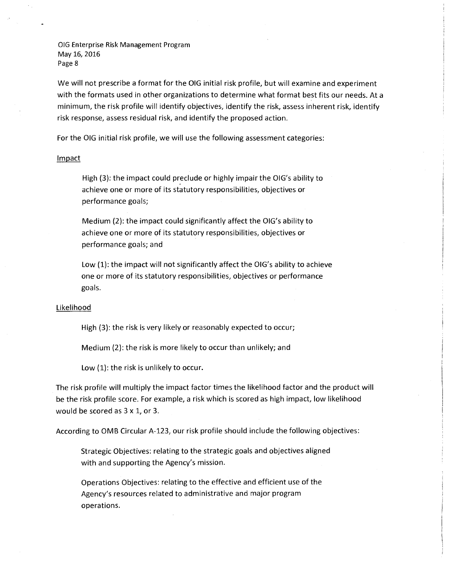We will not prescribe a format for the OIG initial risk profile, but will examine and experiment with the formats used in other organizations to determine what format best fits our needs. At a minimum, the risk profile will identify objectives, identify the risk, assess inherent risk, identify risk response, assess residual risk, and identify the proposed action.

For the OIG initial risk profile, we will use the following assessment categories:

### Impact

High (3): the impact could preclude or highly impair the OIG's ability to achieve one or more of its statutory responsibilities, objectives or performance goals;

Medium (2): the impact could significantly affect the OIG's ability to achieve one or more of its statutory responsibilities, objectives or performance goals; and

Low (1): the impact will not significantly affect the OIG's ability to achieve one or more of its statutory responsibilities, objectives or performance goals.

#### Likelihood

High (3): the risk is very likely or reasonably expected to occur;

Medium (2): the risk is more likely to occur than unlikely; and

Low (1): the risk is unlikely to occur.

The risk profile will multiply the impact factor times the likelihood factor and the product will be the risk profile score. For example, a risk which is scored as high impact, low likelihood would be scored as 3 x 1, or 3.

According to OMB Circular A-123, our risk profile should include the following objectives:

Strategic Objectives: relating to the strategic goals and objectives aligned with and supporting the Agency's mission.

Operations Objectives: relating to the effective and efficient use of the Agency's resources related to administrative and major program operations.